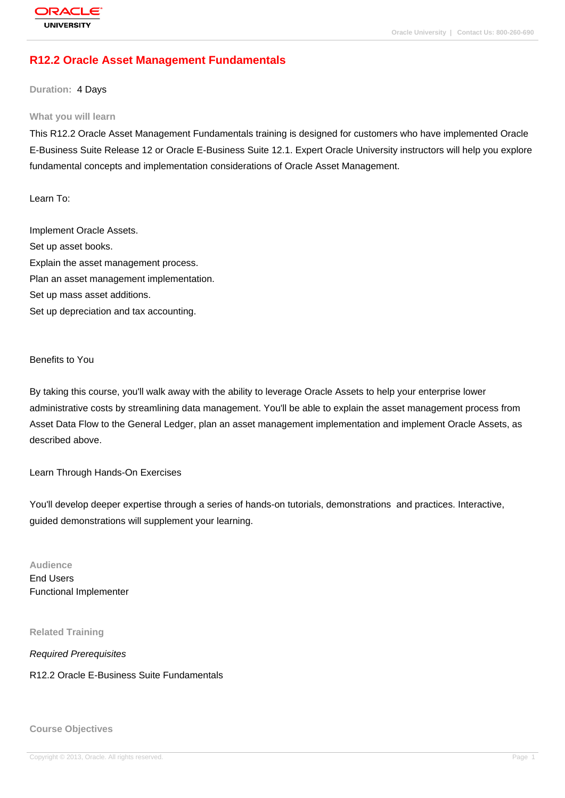# **[R12.2 Oracle A](http://education.oracle.com/pls/web_prod-plq-dad/db_pages.getpage?page_id=3)sset Management Fundamentals**

**Duration:** 4 Days

#### **What you will learn**

This R12.2 Oracle Asset Management Fundamentals training is designed for customers who have implemented Oracle E-Business Suite Release 12 or Oracle E-Business Suite 12.1. Expert Oracle University instructors will help you explore fundamental concepts and implementation considerations of Oracle Asset Management.

Learn To:

Implement Oracle Assets. Set up asset books. Explain the asset management process. Plan an asset management implementation. Set up mass asset additions. Set up depreciation and tax accounting.

Benefits to You

By taking this course, you'll walk away with the ability to leverage Oracle Assets to help your enterprise lower administrative costs by streamlining data management. You'll be able to explain the asset management process from Asset Data Flow to the General Ledger, plan an asset management implementation and implement Oracle Assets, as described above.

Learn Through Hands-On Exercises

You'll develop deeper expertise through a series of hands-on tutorials, demonstrations and practices. Interactive, guided demonstrations will supplement your learning.

**Audience** End Users Functional Implementer

**Related Training**

Required Prerequisites

R12.2 Oracle E-Business Suite Fundamentals

**Course Objectives**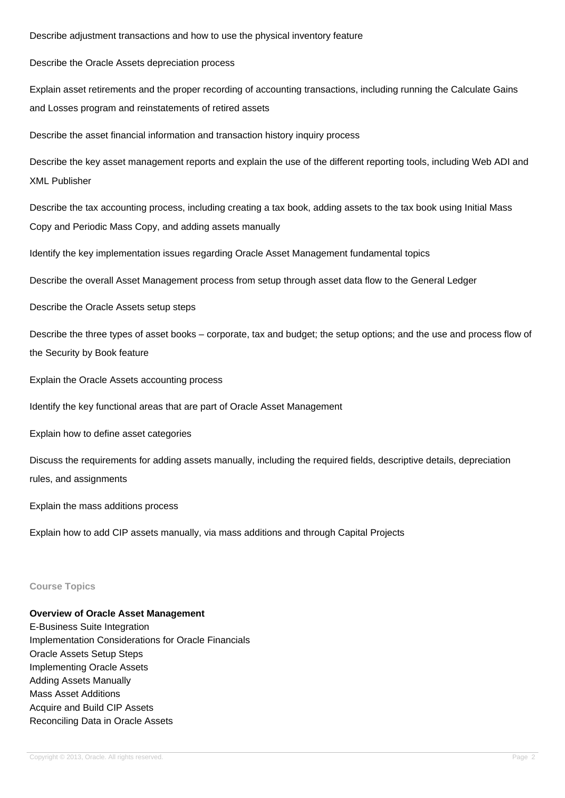Describe adjustment transactions and how to use the physical inventory feature

Describe the Oracle Assets depreciation process

Explain asset retirements and the proper recording of accounting transactions, including running the Calculate Gains and Losses program and reinstatements of retired assets

Describe the asset financial information and transaction history inquiry process

Describe the key asset management reports and explain the use of the different reporting tools, including Web ADI and XML Publisher

Describe the tax accounting process, including creating a tax book, adding assets to the tax book using Initial Mass Copy and Periodic Mass Copy, and adding assets manually

Identify the key implementation issues regarding Oracle Asset Management fundamental topics

Describe the overall Asset Management process from setup through asset data flow to the General Ledger

Describe the Oracle Assets setup steps

Describe the three types of asset books – corporate, tax and budget; the setup options; and the use and process flow of the Security by Book feature

Explain the Oracle Assets accounting process

Identify the key functional areas that are part of Oracle Asset Management

Explain how to define asset categories

Discuss the requirements for adding assets manually, including the required fields, descriptive details, depreciation rules, and assignments

Explain the mass additions process

Explain how to add CIP assets manually, via mass additions and through Capital Projects

#### **Course Topics**

## **Overview of Oracle Asset Management**

E-Business Suite Integration Implementation Considerations for Oracle Financials Oracle Assets Setup Steps Implementing Oracle Assets Adding Assets Manually Mass Asset Additions Acquire and Build CIP Assets Reconciling Data in Oracle Assets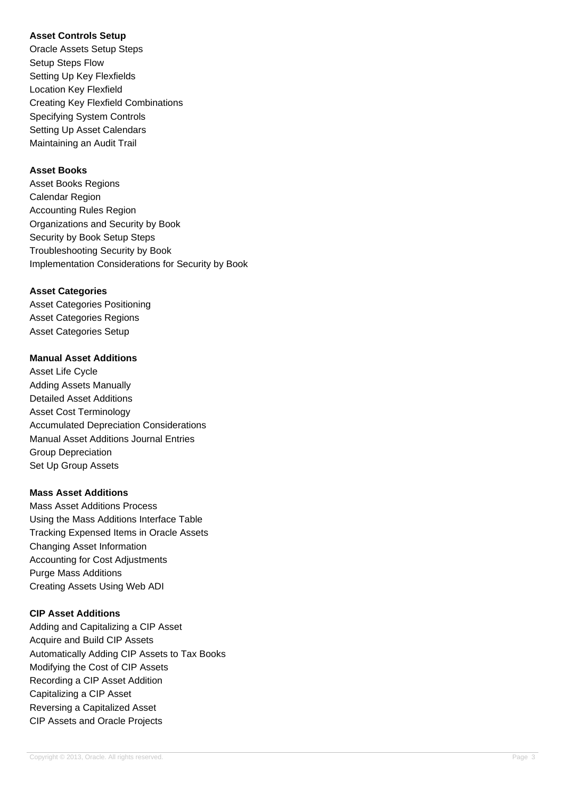## **Asset Controls Setup**

Oracle Assets Setup Steps Setup Steps Flow Setting Up Key Flexfields Location Key Flexfield Creating Key Flexfield Combinations Specifying System Controls Setting Up Asset Calendars Maintaining an Audit Trail

## **Asset Books**

Asset Books Regions Calendar Region Accounting Rules Region Organizations and Security by Book Security by Book Setup Steps Troubleshooting Security by Book Implementation Considerations for Security by Book

## **Asset Categories**

Asset Categories Positioning Asset Categories Regions Asset Categories Setup

## **Manual Asset Additions**

Asset Life Cycle Adding Assets Manually Detailed Asset Additions Asset Cost Terminology Accumulated Depreciation Considerations Manual Asset Additions Journal Entries Group Depreciation Set Up Group Assets

## **Mass Asset Additions**

Mass Asset Additions Process Using the Mass Additions Interface Table Tracking Expensed Items in Oracle Assets Changing Asset Information Accounting for Cost Adjustments Purge Mass Additions Creating Assets Using Web ADI

## **CIP Asset Additions**

Adding and Capitalizing a CIP Asset Acquire and Build CIP Assets Automatically Adding CIP Assets to Tax Books Modifying the Cost of CIP Assets Recording a CIP Asset Addition Capitalizing a CIP Asset Reversing a Capitalized Asset CIP Assets and Oracle Projects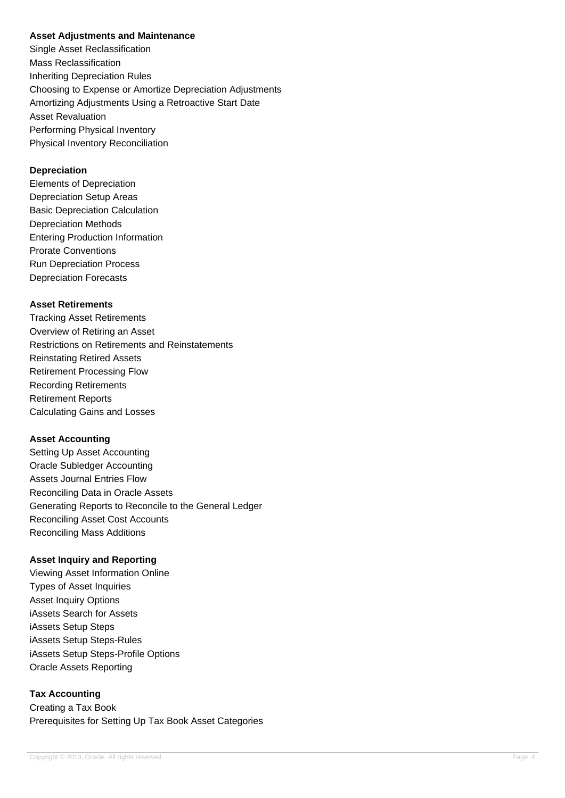#### **Asset Adjustments and Maintenance**

Single Asset Reclassification Mass Reclassification Inheriting Depreciation Rules Choosing to Expense or Amortize Depreciation Adjustments Amortizing Adjustments Using a Retroactive Start Date Asset Revaluation Performing Physical Inventory Physical Inventory Reconciliation

## **Depreciation**

Elements of Depreciation Depreciation Setup Areas Basic Depreciation Calculation Depreciation Methods Entering Production Information Prorate Conventions Run Depreciation Process Depreciation Forecasts

## **Asset Retirements**

Tracking Asset Retirements Overview of Retiring an Asset Restrictions on Retirements and Reinstatements Reinstating Retired Assets Retirement Processing Flow Recording Retirements Retirement Reports Calculating Gains and Losses

## **Asset Accounting**

Setting Up Asset Accounting Oracle Subledger Accounting Assets Journal Entries Flow Reconciling Data in Oracle Assets Generating Reports to Reconcile to the General Ledger Reconciling Asset Cost Accounts Reconciling Mass Additions

## **Asset Inquiry and Reporting**

Viewing Asset Information Online Types of Asset Inquiries Asset Inquiry Options iAssets Search for Assets iAssets Setup Steps iAssets Setup Steps-Rules iAssets Setup Steps-Profile Options Oracle Assets Reporting

## **Tax Accounting**

Creating a Tax Book Prerequisites for Setting Up Tax Book Asset Categories